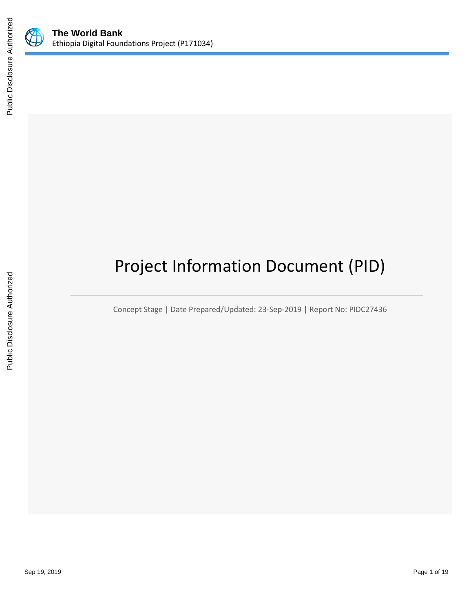

# Project Information Document (PID)

Concept Stage | Date Prepared/Updated: 23-Sep-2019 | Report No: PIDC27436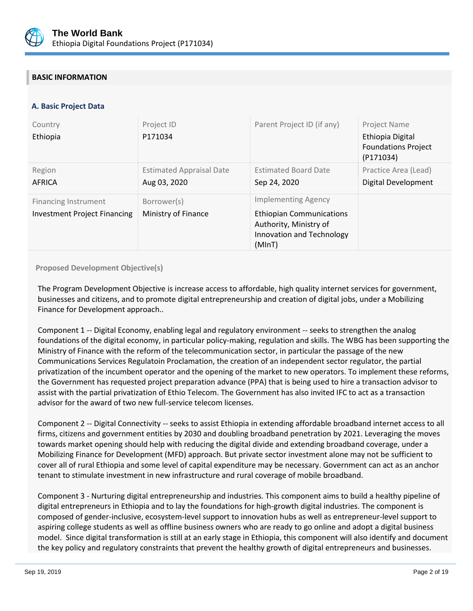

# **BASIC INFORMATION**

# **A. Basic Project Data**

| Country<br>Ethiopia                                         | Project ID<br>P171034                           | Parent Project ID (if any)                                                                                                     | Project Name<br>Ethiopia Digital<br><b>Foundations Project</b><br>(P171034) |
|-------------------------------------------------------------|-------------------------------------------------|--------------------------------------------------------------------------------------------------------------------------------|-----------------------------------------------------------------------------|
| Region<br><b>AFRICA</b>                                     | <b>Estimated Appraisal Date</b><br>Aug 03, 2020 | <b>Estimated Board Date</b><br>Sep 24, 2020                                                                                    | Practice Area (Lead)<br>Digital Development                                 |
| Financing Instrument<br><b>Investment Project Financing</b> | Borrower(s)<br>Ministry of Finance              | <b>Implementing Agency</b><br><b>Ethiopian Communications</b><br>Authority, Ministry of<br>Innovation and Technology<br>(MInT) |                                                                             |

## **Proposed Development Objective(s)**

The Program Development Objective is increase access to affordable, high quality internet services for government, businesses and citizens, and to promote digital entrepreneurship and creation of digital jobs, under a Mobilizing Finance for Development approach..

Component 1 -- Digital Economy, enabling legal and regulatory environment -- seeks to strengthen the analog foundations of the digital economy, in particular policy-making, regulation and skills. The WBG has been supporting the Ministry of Finance with the reform of the telecommunication sector, in particular the passage of the new Communications Services Regulatoin Proclamation, the creation of an independent sector regulator, the partial privatization of the incumbent operator and the opening of the market to new operators. To implement these reforms, the Government has requested project preparation advance (PPA) that is being used to hire a transaction advisor to assist with the partial privatization of Ethio Telecom. The Government has also invited IFC to act as a transaction advisor for the award of two new full-service telecom licenses.

Component 2 -- Digital Connectivity -- seeks to assist Ethiopia in extending affordable broadband internet access to all firms, citizens and government entities by 2030 and doubling broadband penetration by 2021. Leveraging the moves towards market opening should help with reducing the digital divide and extending broadband coverage, under a Mobilizing Finance for Development (MFD) approach. But private sector investment alone may not be sufficient to cover all of rural Ethiopia and some level of capital expenditure may be necessary. Government can act as an anchor tenant to stimulate investment in new infrastructure and rural coverage of mobile broadband.

Component 3 - Nurturing digital entrepreneurship and industries. This component aims to build a healthy pipeline of digital entrepreneurs in Ethiopia and to lay the foundations for high-growth digital industries. The component is composed of gender-inclusive, ecosystem-level support to innovation hubs as well as entrepreneur-level support to aspiring college students as well as offline business owners who are ready to go online and adopt a digital business model. Since digital transformation is still at an early stage in Ethiopia, this component will also identify and document the key policy and regulatory constraints that prevent the healthy growth of digital entrepreneurs and businesses.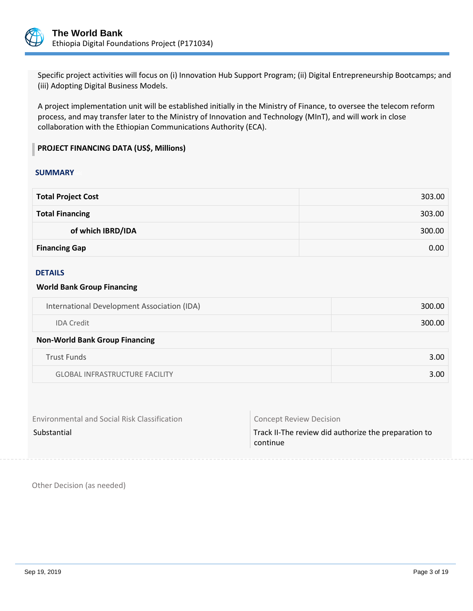

Specific project activities will focus on (i) Innovation Hub Support Program; (ii) Digital Entrepreneurship Bootcamps; and (iii) Adopting Digital Business Models.

A project implementation unit will be established initially in the Ministry of Finance, to oversee the telecom reform process, and may transfer later to the Ministry of Innovation and Technology (MInT), and will work in close collaboration with the Ethiopian Communications Authority (ECA).

# **PROJECT FINANCING DATA (US\$, Millions)**

#### **SUMMARY**

| <b>Total Project Cost</b> | 303.00 |
|---------------------------|--------|
| <b>Total Financing</b>    | 303.00 |
| of which IBRD/IDA         | 300.00 |
| <b>Financing Gap</b>      | 0.00   |

#### DETAILS

#### **World Bank Group Financing**

| International Development Association (IDA) | 300.00 |
|---------------------------------------------|--------|
| <b>IDA</b> Credit                           | 300.00 |
|                                             |        |

#### **Non-World Bank Group Financing**

| <b>Trust Funds</b>                    | 3.00 |
|---------------------------------------|------|
| <b>GLOBAL INFRASTRUCTURE FACILITY</b> | 3.00 |

| <b>Environmental and Social Risk Classification</b> | <b>Concept Review Decision</b>                                   |
|-----------------------------------------------------|------------------------------------------------------------------|
| Substantial                                         | Track II-The review did authorize the preparation to<br>continue |

Other Decision (as needed)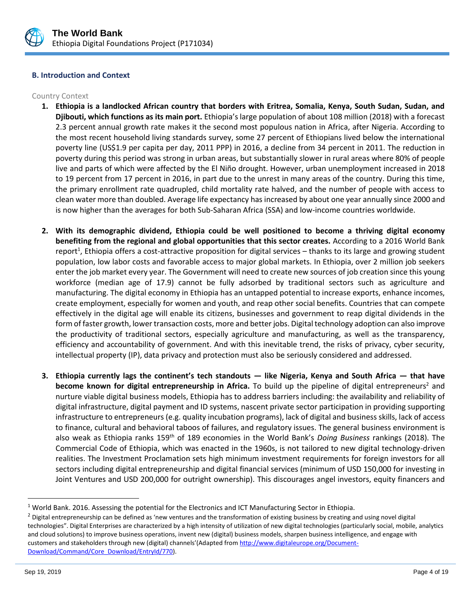

## **B. Introduction and Context**

#### Country Context

- **1. Ethiopia is a landlocked African country that borders with Eritrea, Somalia, Kenya, South Sudan, Sudan, and Djibouti, which functions as its main port.** Ethiopia's large population of about 108 million (2018) with a forecast 2.3 percent annual growth rate makes it the second most populous nation in Africa, after Nigeria. According to the most recent household living standards survey, some 27 percent of Ethiopians lived below the international poverty line (US\$1.9 per capita per day, 2011 PPP) in 2016, a decline from 34 percent in 2011. The reduction in poverty during this period was strong in urban areas, but substantially slower in rural areas where 80% of people live and parts of which were affected by the El Niño drought. However, urban unemployment increased in 2018 to 19 percent from 17 percent in 2016, in part due to the unrest in many areas of the country. During this time, the primary enrollment rate quadrupled, child mortality rate halved, and the number of people with access to clean water more than doubled. Average life expectancy has increased by about one year annually since 2000 and is now higher than the averages for both Sub-Saharan Africa (SSA) and low-income countries worldwide.
- **2. With its demographic dividend, Ethiopia could be well positioned to become a thriving digital economy benefiting from the regional and global opportunities that this sector creates.** According to a 2016 World Bank report<sup>1</sup>, Ethiopia offers a cost-attractive proposition for digital services – thanks to its large and growing student population, low labor costs and favorable access to major global markets. In Ethiopia, over 2 million job seekers enter the job market every year. The Government will need to create new sources of job creation since this young workforce (median age of 17.9) cannot be fully adsorbed by traditional sectors such as agriculture and manufacturing. The digital economy in Ethiopia has an untapped potential to increase exports, enhance incomes, create employment, especially for women and youth, and reap other social benefits. Countries that can compete effectively in the digital age will enable its citizens, businesses and government to reap digital dividends in the form of faster growth, lower transaction costs, more and better jobs. Digital technology adoption can also improve the productivity of traditional sectors, especially agriculture and manufacturing, as well as the transparency, efficiency and accountability of government. And with this inevitable trend, the risks of privacy, cyber security, intellectual property (IP), data privacy and protection must also be seriously considered and addressed.
- **3. Ethiopia currently lags the continent's tech standouts — like Nigeria, Kenya and South Africa — that have become known for digital entrepreneurship in Africa.** To build up the pipeline of digital entrepreneurs<sup>2</sup> and nurture viable digital business models, Ethiopia has to address barriers including: the availability and reliability of digital infrastructure, digital payment and ID systems, nascent private sector participation in providing supporting infrastructure to entrepreneurs (e.g. quality incubation programs), lack of digital and business skills, lack of access to finance, cultural and behavioral taboos of failures, and regulatory issues. The general business environment is also weak as Ethiopia ranks 159th of 189 economies in the World Bank's *Doing Business* rankings (2018). The Commercial Code of Ethiopia, which was enacted in the 1960s, is not tailored to new digital technology-driven realities. The Investment Proclamation sets high minimum investment requirements for foreign investors for all sectors including digital entrepreneurship and digital financial services (minimum of USD 150,000 for investing in Joint Ventures and USD 200,000 for outright ownership). This discourages angel investors, equity financers and

<sup>1</sup> World Bank. 2016. Assessing the potential for the Electronics and ICT Manufacturing Sector in Ethiopia.

 $<sup>2</sup>$  Digital entrepreneurship can be defined as 'new ventures and the transformation of existing business by creating and using novel digital</sup> technologies". Digital Enterprises are characterized by a high intensity of utilization of new digital technologies (particularly social, mobile, analytics and cloud solutions) to improve business operations, invent new (digital) business models, sharpen business intelligence, and engage with customers and stakeholders through new (digital) channels'(Adapted fro[m http://www.digitaleurope.org/Document-](http://www.digitaleurope.org/Document-Download/Command/Core_Download/EntryId/770)[Download/Command/Core\\_Download/EntryId/770\)](http://www.digitaleurope.org/Document-Download/Command/Core_Download/EntryId/770).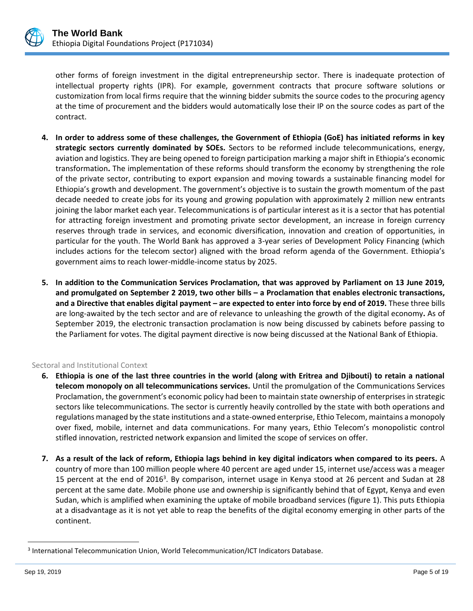

other forms of foreign investment in the digital entrepreneurship sector. There is inadequate protection of intellectual property rights (IPR). For example, government contracts that procure software solutions or customization from local firms require that the winning bidder submits the source codes to the procuring agency at the time of procurement and the bidders would automatically lose their IP on the source codes as part of the contract.

- **4. In order to address some of these challenges, the Government of Ethiopia (GoE) has initiated reforms in key strategic sectors currently dominated by SOEs.** Sectors to be reformed include telecommunications, energy, aviation and logistics. They are being opened to foreign participation marking a major shift in Ethiopia's economic transformation**.** The implementation of these reforms should transform the economy by strengthening the role of the private sector, contributing to export expansion and moving towards a sustainable financing model for Ethiopia's growth and development. The government's objective is to sustain the growth momentum of the past decade needed to create jobs for its young and growing population with approximately 2 million new entrants joining the labor market each year. Telecommunications is of particular interest as it is a sector that has potential for attracting foreign investment and promoting private sector development, an increase in foreign currency reserves through trade in services, and economic diversification, innovation and creation of opportunities, in particular for the youth. The World Bank has approved a 3-year series of Development Policy Financing (which includes actions for the telecom sector) aligned with the broad reform agenda of the Government. Ethiopia's government aims to reach lower-middle-income status by 2025.
- **5. In addition to the Communication Services Proclamation, that was approved by Parliament on 13 June 2019, and promulgated on September 2 2019, two other bills – a Proclamation that enables electronic transactions, and a Directive that enables digital payment – are expected to enter into force by end of 2019.** These three bills are long-awaited by the tech sector and are of relevance to unleashing the growth of the digital economy**.** As of September 2019, the electronic transaction proclamation is now being discussed by cabinets before passing to the Parliament for votes. The digital payment directive is now being discussed at the National Bank of Ethiopia.

## Sectoral and Institutional Context

- **6. Ethiopia is one of the last three countries in the world (along with Eritrea and Djibouti) to retain a national telecom monopoly on all telecommunications services.** Until the promulgation of the Communications Services Proclamation, the government's economic policy had been to maintain state ownership of enterprises in strategic sectors like telecommunications. The sector is currently heavily controlled by the state with both operations and regulations managed by the state institutions and a state-owned enterprise, Ethio Telecom, maintains a monopoly over fixed, mobile, internet and data communications. For many years, Ethio Telecom's monopolistic control stifled innovation, restricted network expansion and limited the scope of services on offer.
- **7. As a result of the lack of reform, Ethiopia lags behind in key digital indicators when compared to its peers.** A country of more than 100 million people where 40 percent are aged under 15, internet use/access was a meager 15 percent at the end of 2016<sup>3</sup>. By comparison, internet usage in Kenya stood at 26 percent and Sudan at 28 percent at the same date. Mobile phone use and ownership is significantly behind that of Egypt, Kenya and even Sudan, which is amplified when examining the uptake of mobile broadband services (figure 1). This puts Ethiopia at a disadvantage as it is not yet able to reap the benefits of the digital economy emerging in other parts of the continent.

<sup>&</sup>lt;sup>3</sup> International Telecommunication Union, World Telecommunication/ICT Indicators Database.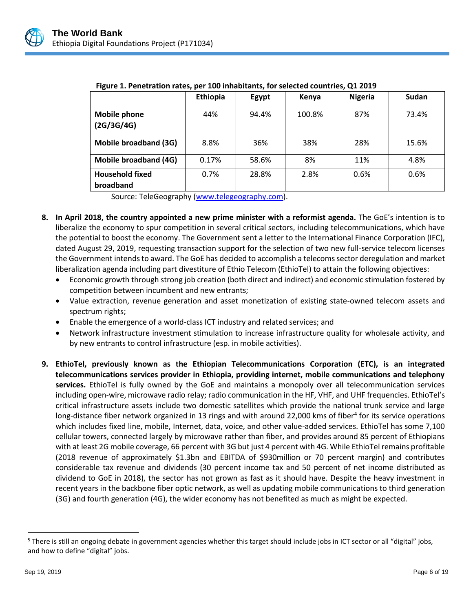

|                                     | Ethiopia | Egypt | Kenya  | <b>Nigeria</b> | Sudan |
|-------------------------------------|----------|-------|--------|----------------|-------|
| <b>Mobile phone</b><br>(2G/3G/4G)   | 44%      | 94.4% | 100.8% | 87%            | 73.4% |
| <b>Mobile broadband (3G)</b>        | 8.8%     | 36%   | 38%    | 28%            | 15.6% |
| <b>Mobile broadband (4G)</b>        | 0.17%    | 58.6% | 8%     | 11%            | 4.8%  |
| <b>Household fixed</b><br>broadband | 0.7%     | 28.8% | 2.8%   | 0.6%           | 0.6%  |

| Figure 1. Penetration rates, per 100 inhabitants, for selected countries, Q1 2019 |  |  |  |  |
|-----------------------------------------------------------------------------------|--|--|--|--|
|-----------------------------------------------------------------------------------|--|--|--|--|

Source: TeleGeography [\(www.telegeography.com\)](http://www.telegeography.com/).

- **8. In April 2018, the country appointed a new prime minister with a reformist agenda.** The GoE's intention is to liberalize the economy to spur competition in several critical sectors, including telecommunications, which have the potential to boost the economy. The Government sent a letter to the International Finance Corporation (IFC), dated August 29, 2019, requesting transaction support for the selection of two new full-service telecom licenses the Government intends to award. The GoE has decided to accomplish a telecoms sector deregulation and market liberalization agenda including part divestiture of Ethio Telecom (EthioTel) to attain the following objectives:
	- Economic growth through strong job creation (both direct and indirect) and economic stimulation fostered by competition between incumbent and new entrants;
	- Value extraction, revenue generation and asset monetization of existing state-owned telecom assets and spectrum rights;
	- Enable the emergence of a world-class ICT industry and related services; and
	- Network infrastructure investment stimulation to increase infrastructure quality for wholesale activity, and by new entrants to control infrastructure (esp. in mobile activities).
- **9. EthioTel, previously known as the Ethiopian Telecommunications Corporation (ETC), is an integrated telecommunications services provider in Ethiopia, providing internet, mobile communications and telephony services.** EthioTel is fully owned by the GoE and maintains a monopoly over all telecommunication services including open-wire, microwave radio relay; radio communication in the HF, VHF, and UHF frequencies. EthioTel's critical infrastructure assets include two domestic satellites which provide the national trunk service and large long-distance fiber network organized in 13 rings and with around 22,000 kms of fiber<sup>4</sup> for its service operations which includes fixed line, mobile, Internet, data, voice, and other value-added services. EthioTel has some 7,100 cellular towers, connected largely by microwave rather than fiber, and provides around 85 percent of Ethiopians with at least 2G mobile coverage, 66 percent with 3G but just 4 percent with 4G. While EthioTel remains profitable (2018 revenue of approximately \$1.3bn and EBITDA of \$930million or 70 percent margin) and contributes considerable tax revenue and dividends (30 percent income tax and 50 percent of net income distributed as dividend to GoE in 2018), the sector has not grown as fast as it should have. Despite the heavy investment in recent years in the backbone fiber optic network, as well as updating mobile communications to third generation (3G) and fourth generation (4G), the wider economy has not benefited as much as might be expected.

<sup>&</sup>lt;sup>5</sup> There is still an ongoing debate in government agencies whether this target should include jobs in ICT sector or all "digital" jobs, and how to define "digital" jobs.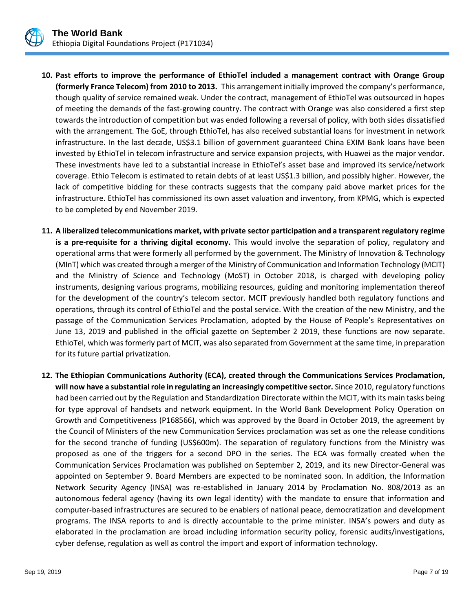

- **10. Past efforts to improve the performance of EthioTel included a management contract with Orange Group (formerly France Telecom) from 2010 to 2013.** This arrangement initially improved the company's performance, though quality of service remained weak. Under the contract, management of EthioTel was outsourced in hopes of meeting the demands of the fast-growing country. The contract with Orange was also considered a first step towards the introduction of competition but was ended following a reversal of policy, with both sides dissatisfied with the arrangement. The GoE, through EthioTel, has also received substantial loans for investment in network infrastructure. In the last decade, US\$3.1 billion of government guaranteed China EXIM Bank loans have been invested by EthioTel in telecom infrastructure and service expansion projects, with Huawei as the major vendor. These investments have led to a substantial increase in EthioTel's asset base and improved its service/network coverage. Ethio Telecom is estimated to retain debts of at least US\$1.3 billion, and possibly higher. However, the lack of competitive bidding for these contracts suggests that the company paid above market prices for the infrastructure. EthioTel has commissioned its own asset valuation and inventory, from KPMG, which is expected to be completed by end November 2019.
- **11. A liberalized telecommunications market, with private sector participation and a transparent regulatory regime is a pre-requisite for a thriving digital economy.** This would involve the separation of policy, regulatory and operational arms that were formerly all performed by the government. The Ministry of Innovation & Technology (MInT) which was created through a merger of the Ministry of Communication and Information Technology (MCIT) and the Ministry of Science and Technology (MoST) in October 2018, is charged with developing policy instruments, designing various programs, mobilizing resources, guiding and monitoring implementation thereof for the development of the country's telecom sector. MCIT previously handled both regulatory functions and operations, through its control of EthioTel and the postal service. With the creation of the new Ministry, and the passage of the Communication Services Proclamation, adopted by the House of People's Representatives on June 13, 2019 and published in the official gazette on September 2 2019, these functions are now separate. EthioTel, which was formerly part of MCIT, was also separated from Government at the same time, in preparation for its future partial privatization.
- **12. The Ethiopian Communications Authority (ECA), created through the Communications Services Proclamation, will now have a substantial role in regulating an increasingly competitive sector.** Since 2010, regulatory functions had been carried out by the Regulation and Standardization Directorate within the MCIT, with its main tasks being for type approval of handsets and network equipment. In the World Bank Development Policy Operation on Growth and Competitiveness (P168566), which was approved by the Board in October 2019, the agreement by the Council of Ministers of the new Communication Services proclamation was set as one the release conditions for the second tranche of funding (US\$600m). The separation of regulatory functions from the Ministry was proposed as one of the triggers for a second DPO in the series. The ECA was formally created when the Communication Services Proclamation was published on September 2, 2019, and its new Director-General was appointed on September 9. Board Members are expected to be nominated soon. In addition, the Information Network Security Agency (INSA) was re-established in January 2014 by Proclamation No. 808/2013 as an autonomous federal agency (having its own legal identity) with the mandate to ensure that information and computer-based infrastructures are secured to be enablers of national peace, democratization and development programs. The INSA reports to and is directly accountable to the prime minister. INSA's powers and duty as elaborated in the proclamation are broad including information security policy, forensic audits/investigations, cyber defense, regulation as well as control the import and export of information technology.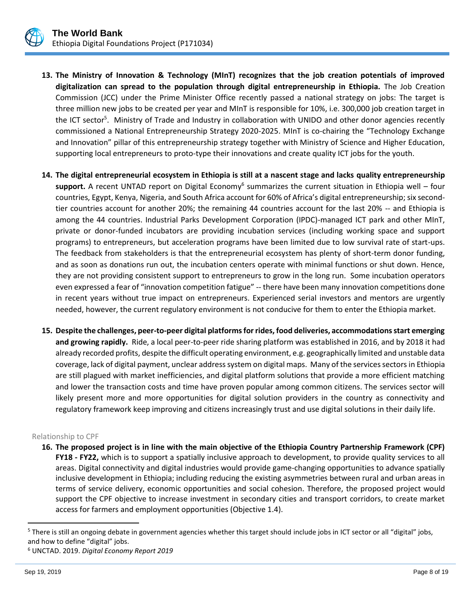

- **13. The Ministry of Innovation & Technology (MInT) recognizes that the job creation potentials of improved digitalization can spread to the population through digital entrepreneurship in Ethiopia.** The Job Creation Commission (JCC) under the Prime Minister Office recently passed a national strategy on jobs: The target is three million new jobs to be created per year and MInT is responsible for 10%, i.e. 300,000 job creation target in the ICT sector<sup>5</sup>. Ministry of Trade and Industry in collaboration with UNIDO and other donor agencies recently commissioned a National Entrepreneurship Strategy 2020-2025. MInT is co-chairing the "Technology Exchange and Innovation" pillar of this entrepreneurship strategy together with Ministry of Science and Higher Education, supporting local entrepreneurs to proto-type their innovations and create quality ICT jobs for the youth.
- **14. The digital entrepreneurial ecosystem in Ethiopia is still at a nascent stage and lacks quality entrepreneurship**  support. A recent UNTAD report on Digital Economy<sup>6</sup> summarizes the current situation in Ethiopia well – four countries, Egypt, Kenya, Nigeria, and South Africa account for 60% of Africa's digital entrepreneurship; six secondtier countries account for another 20%; the remaining 44 countries account for the last 20% -- and Ethiopia is among the 44 countries. Industrial Parks Development Corporation (IPDC)-managed ICT park and other MInT, private or donor-funded incubators are providing incubation services (including working space and support programs) to entrepreneurs, but acceleration programs have been limited due to low survival rate of start-ups. The feedback from stakeholders is that the entrepreneurial ecosystem has plenty of short-term donor funding, and as soon as donations run out, the incubation centers operate with minimal functions or shut down. Hence, they are not providing consistent support to entrepreneurs to grow in the long run. Some incubation operators even expressed a fear of "innovation competition fatigue" -- there have been many innovation competitions done in recent years without true impact on entrepreneurs. Experienced serial investors and mentors are urgently needed, however, the current regulatory environment is not conducive for them to enter the Ethiopia market.
- **15. Despite the challenges, peer-to-peer digital platforms for rides, food deliveries, accommodations start emerging and growing rapidly.** Ride, a local peer-to-peer ride sharing platform was established in 2016, and by 2018 it had already recorded profits, despite the difficult operating environment, e.g. geographically limited and unstable data coverage, lack of digital payment, unclear address system on digital maps. Many of the services sectors in Ethiopia are still plagued with market inefficiencies, and digital platform solutions that provide a more efficient matching and lower the transaction costs and time have proven popular among common citizens. The services sector will likely present more and more opportunities for digital solution providers in the country as connectivity and regulatory framework keep improving and citizens increasingly trust and use digital solutions in their daily life.

#### Relationship to CPF

**16. The proposed project is in line with the main objective of the Ethiopia Country Partnership Framework (CPF) FY18 - FY22,** which is to support a spatially inclusive approach to development, to provide quality services to all areas. Digital connectivity and digital industries would provide game-changing opportunities to advance spatially inclusive development in Ethiopia; including reducing the existing asymmetries between rural and urban areas in terms of service delivery, economic opportunities and social cohesion. Therefore, the proposed project would support the CPF objective to increase investment in secondary cities and transport corridors, to create market access for farmers and employment opportunities (Objective 1.4).

<sup>&</sup>lt;sup>5</sup> There is still an ongoing debate in government agencies whether this target should include jobs in ICT sector or all "digital" jobs, and how to define "digital" jobs.

<sup>6</sup> UNCTAD. 2019. *Digital Economy Report 2019*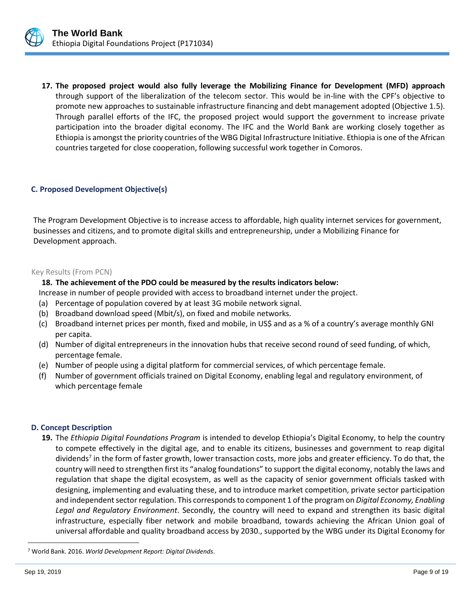

**17. The proposed project would also fully leverage the Mobilizing Finance for Development (MFD) approach** through support of the liberalization of the telecom sector. This would be in-line with the CPF's objective to promote new approaches to sustainable infrastructure financing and debt management adopted (Objective 1.5). Through parallel efforts of the IFC, the proposed project would support the government to increase private participation into the broader digital economy. The IFC and the World Bank are working closely together as Ethiopia is amongst the priority countries of the WBG Digital Infrastructure Initiative. Ethiopia is one of the African countries targeted for close cooperation, following successful work together in Comoros.

#### **C. Proposed Development Objective(s)**

The Program Development Objective is to increase access to affordable, high quality internet services for government, businesses and citizens, and to promote digital skills and entrepreneurship, under a Mobilizing Finance for Development approach.

#### Key Results (From PCN)

#### **18. The achievement of the PDO could be measured by the results indicators below:**

Increase in number of people provided with access to broadband internet under the project.

- (a) Percentage of population covered by at least 3G mobile network signal.
- (b) Broadband download speed (Mbit/s), on fixed and mobile networks.
- (c) Broadband internet prices per month, fixed and mobile, in US\$ and as a % of a country's average monthly GNI per capita.
- (d) Number of digital entrepreneurs in the innovation hubs that receive second round of seed funding, of which, percentage female.
- (e) Number of people using a digital platform for commercial services, of which percentage female.
- (f) Number of government officials trained on Digital Economy, enabling legal and regulatory environment, of which percentage female

#### **D. Concept Description**

**19.** The *Ethiopia Digital Foundations Program* is intended to develop Ethiopia's Digital Economy, to help the country to compete effectively in the digital age, and to enable its citizens, businesses and government to reap digital dividends<sup>7</sup> in the form of faster growth, lower transaction costs, more jobs and greater efficiency. To do that, the country will need to strengthen first its "analog foundations" to support the digital economy, notably the laws and regulation that shape the digital ecosystem, as well as the capacity of senior government officials tasked with designing, implementing and evaluating these, and to introduce market competition, private sector participation and independent sector regulation. This corresponds to component 1 of the program on *Digital Economy, Enabling Legal and Regulatory Environment*. Secondly, the country will need to expand and strengthen its basic digital infrastructure, especially fiber network and mobile broadband, towards achieving the African Union goal of universal affordable and quality broadband access by 2030., supported by the WBG under its Digital Economy for

<sup>7</sup> World Bank. 2016. *World Development Report: Digital Dividends*.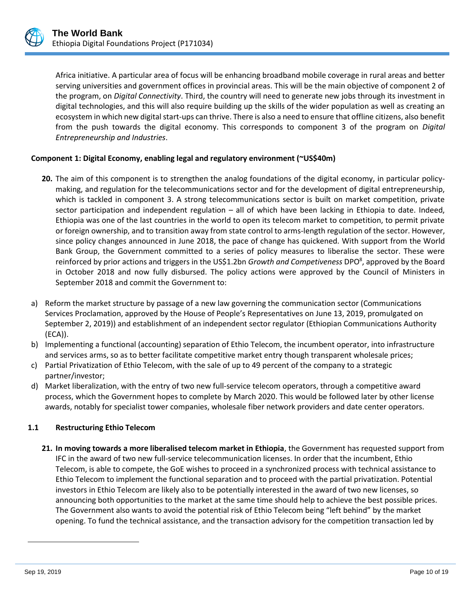

Africa initiative. A particular area of focus will be enhancing broadband mobile coverage in rural areas and better serving universities and government offices in provincial areas. This will be the main objective of component 2 of the program, on *Digital Connectivity*. Third, the country will need to generate new jobs through its investment in digital technologies, and this will also require building up the skills of the wider population as well as creating an ecosystem in which new digital start-ups can thrive. There is also a need to ensure that offline citizens, also benefit from the push towards the digital economy. This corresponds to component 3 of the program on *Digital Entrepreneurship and Industries*.

## **Component 1: Digital Economy, enabling legal and regulatory environment (~US\$40m)**

- **20.** The aim of this component is to strengthen the analog foundations of the digital economy, in particular policymaking, and regulation for the telecommunications sector and for the development of digital entrepreneurship, which is tackled in component 3. A strong telecommunications sector is built on market competition, private sector participation and independent regulation – all of which have been lacking in Ethiopia to date. Indeed, Ethiopia was one of the last countries in the world to open its telecom market to competition, to permit private or foreign ownership, and to transition away from state control to arms-length regulation of the sector. However, since policy changes announced in June 2018, the pace of change has quickened. With support from the World Bank Group, the Government committed to a series of policy measures to liberalise the sector. These were reinforced by prior actions and triggers in the US\$1.2bn *Growth and Competiveness* DPO<sup>8</sup>, approved by the Board in October 2018 and now fully disbursed. The policy actions were approved by the Council of Ministers in September 2018 and commit the Government to:
- a) Reform the market structure by passage of a new law governing the communication sector (Communications Services Proclamation, approved by the House of People's Representatives on June 13, 2019, promulgated on September 2, 2019)) and establishment of an independent sector regulator (Ethiopian Communications Authority (ECA)).
- b) Implementing a functional (accounting) separation of Ethio Telecom, the incumbent operator, into infrastructure and services arms, so as to better facilitate competitive market entry though transparent wholesale prices;
- c) Partial Privatization of Ethio Telecom, with the sale of up to 49 percent of the company to a strategic partner/investor;
- d) Market liberalization, with the entry of two new full-service telecom operators, through a competitive award process, which the Government hopes to complete by March 2020. This would be followed later by other license awards, notably for specialist tower companies, wholesale fiber network providers and date center operators.

## **1.1 Restructuring Ethio Telecom**

**21. In moving towards a more liberalised telecom market in Ethiopia**, the Government has requested support from IFC in the award of two new full-service telecommunication licenses. In order that the incumbent, Ethio Telecom, is able to compete, the GoE wishes to proceed in a synchronized process with technical assistance to Ethio Telecom to implement the functional separation and to proceed with the partial privatization. Potential investors in Ethio Telecom are likely also to be potentially interested in the award of two new licenses, so announcing both opportunities to the market at the same time should help to achieve the best possible prices. The Government also wants to avoid the potential risk of Ethio Telecom being "left behind" by the market opening. To fund the technical assistance, and the transaction advisory for the competition transaction led by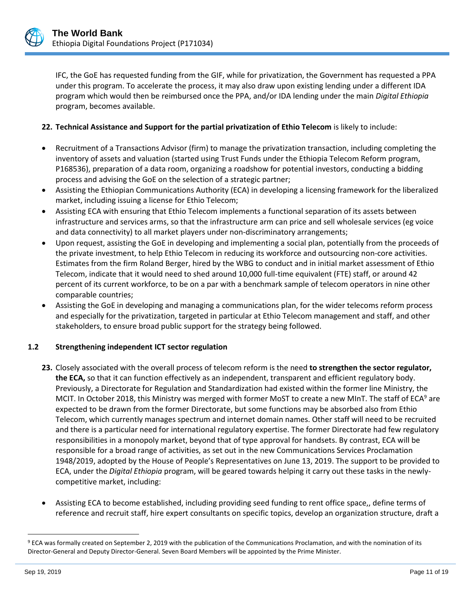

IFC, the GoE has requested funding from the GIF, while for privatization, the Government has requested a PPA under this program. To accelerate the process, it may also draw upon existing lending under a different IDA program which would then be reimbursed once the PPA, and/or IDA lending under the main *Digital Ethiopia* program, becomes available.

## **22. Technical Assistance and Support for the partial privatization of Ethio Telecom** is likely to include:

- Recruitment of a Transactions Advisor (firm) to manage the privatization transaction, including completing the inventory of assets and valuation (started using Trust Funds under the Ethiopia Telecom Reform program, P168536), preparation of a data room, organizing a roadshow for potential investors, conducting a bidding process and advising the GoE on the selection of a strategic partner;
- Assisting the Ethiopian Communications Authority (ECA) in developing a licensing framework for the liberalized market, including issuing a license for Ethio Telecom;
- Assisting ECA with ensuring that Ethio Telecom implements a functional separation of its assets between infrastructure and services arms, so that the infrastructure arm can price and sell wholesale services (eg voice and data connectivity) to all market players under non-discriminatory arrangements;
- Upon request, assisting the GoE in developing and implementing a social plan, potentially from the proceeds of the private investment, to help Ethio Telecom in reducing its workforce and outsourcing non-core activities. Estimates from the firm Roland Berger, hired by the WBG to conduct and in initial market assessment of Ethio Telecom, indicate that it would need to shed around 10,000 full-time equivalent (FTE) staff, or around 42 percent of its current workforce, to be on a par with a benchmark sample of telecom operators in nine other comparable countries;
- Assisting the GoE in developing and managing a communications plan, for the wider telecoms reform process and especially for the privatization, targeted in particular at Ethio Telecom management and staff, and other stakeholders, to ensure broad public support for the strategy being followed.

## **1.2 Strengthening independent ICT sector regulation**

- **23.** Closely associated with the overall process of telecom reform is the need **to strengthen the sector regulator, the ECA,** so that it can function effectively as an independent, transparent and efficient regulatory body. Previously, a Directorate for Regulation and Standardization had existed within the former line Ministry, the MCIT. In October 2018, this Ministry was merged with former MoST to create a new MInT. The staff of ECA<sup>9</sup> are expected to be drawn from the former Directorate, but some functions may be absorbed also from Ethio Telecom, which currently manages spectrum and internet domain names. Other staff will need to be recruited and there is a particular need for international regulatory expertise. The former Directorate had few regulatory responsibilities in a monopoly market, beyond that of type approval for handsets. By contrast, ECA will be responsible for a broad range of activities, as set out in the new Communications Services Proclamation 1948/2019, adopted by the House of People's Representatives on June 13, 2019. The support to be provided to ECA, under the *Digital Ethiopia* program, will be geared towards helping it carry out these tasks in the newlycompetitive market, including:
- Assisting ECA to become established, including providing seed funding to rent office space,, define terms of reference and recruit staff, hire expert consultants on specific topics, develop an organization structure, draft a

<sup>9</sup> ECA was formally created on September 2, 2019 with the publication of the Communications Proclamation, and with the nomination of its Director-General and Deputy Director-General. Seven Board Members will be appointed by the Prime Minister.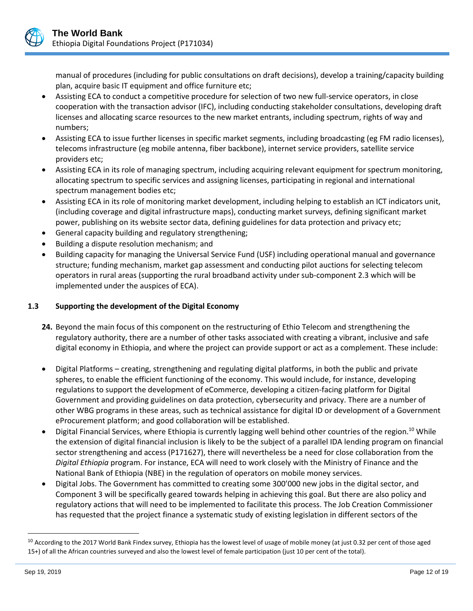

manual of procedures (including for public consultations on draft decisions), develop a training/capacity building plan, acquire basic IT equipment and office furniture etc;

- Assisting ECA to conduct a competitive procedure for selection of two new full-service operators, in close cooperation with the transaction advisor (IFC), including conducting stakeholder consultations, developing draft licenses and allocating scarce resources to the new market entrants, including spectrum, rights of way and numbers;
- Assisting ECA to issue further licenses in specific market segments, including broadcasting (eg FM radio licenses), telecoms infrastructure (eg mobile antenna, fiber backbone), internet service providers, satellite service providers etc;
- Assisting ECA in its role of managing spectrum, including acquiring relevant equipment for spectrum monitoring, allocating spectrum to specific services and assigning licenses, participating in regional and international spectrum management bodies etc;
- Assisting ECA in its role of monitoring market development, including helping to establish an ICT indicators unit, (including coverage and digital infrastructure maps), conducting market surveys, defining significant market power, publishing on its website sector data, defining guidelines for data protection and privacy etc;
- General capacity building and regulatory strengthening;
- Building a dispute resolution mechanism; and
- Building capacity for managing the Universal Service Fund (USF) including operational manual and governance structure; funding mechanism, market gap assessment and conducting pilot auctions for selecting telecom operators in rural areas (supporting the rural broadband activity under sub-component 2.3 which will be implemented under the auspices of ECA).

# **1.3 Supporting the development of the Digital Economy**

- **24.** Beyond the main focus of this component on the restructuring of Ethio Telecom and strengthening the regulatory authority, there are a number of other tasks associated with creating a vibrant, inclusive and safe digital economy in Ethiopia, and where the project can provide support or act as a complement. These include:
- Digital Platforms creating, strengthening and regulating digital platforms, in both the public and private spheres, to enable the efficient functioning of the economy. This would include, for instance, developing regulations to support the development of eCommerce, developing a citizen-facing platform for Digital Government and providing guidelines on data protection, cybersecurity and privacy. There are a number of other WBG programs in these areas, such as technical assistance for digital ID or development of a Government eProcurement platform; and good collaboration will be established.
- Digital Financial Services, where Ethiopia is currently lagging well behind other countries of the region.<sup>10</sup> While the extension of digital financial inclusion is likely to be the subject of a parallel IDA lending program on financial sector strengthening and access (P171627), there will nevertheless be a need for close collaboration from the *Digital Ethiopia* program. For instance, ECA will need to work closely with the Ministry of Finance and the National Bank of Ethiopia (NBE) in the regulation of operators on mobile money services.
- Digital Jobs. The Government has committed to creating some 300'000 new jobs in the digital sector, and Component 3 will be specifically geared towards helping in achieving this goal. But there are also policy and regulatory actions that will need to be implemented to facilitate this process. The Job Creation Commissioner has requested that the project finance a systematic study of existing legislation in different sectors of the

<sup>&</sup>lt;sup>10</sup> According to the 2017 World Bank Findex survey, Ethiopia has the lowest level of usage of mobile money (at just 0.32 per cent of those aged 15+) of all the African countries surveyed and also the lowest level of female participation (just 10 per cent of the total).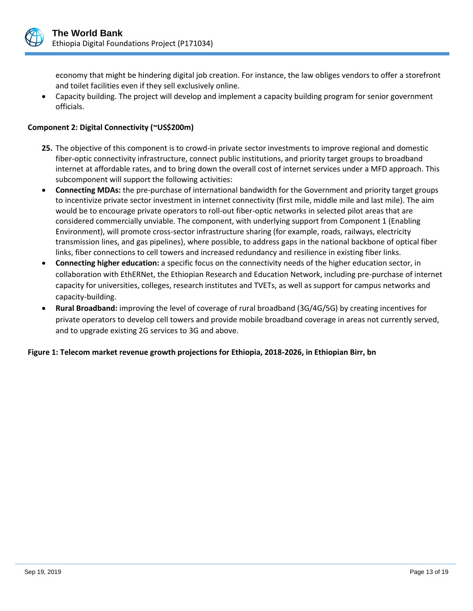

economy that might be hindering digital job creation. For instance, the law obliges vendors to offer a storefront and toilet facilities even if they sell exclusively online.

 Capacity building. The project will develop and implement a capacity building program for senior government officials.

## **Component 2: Digital Connectivity (~US\$200m)**

- **25.** The objective of this component is to crowd-in private sector investments to improve regional and domestic fiber-optic connectivity infrastructure, connect public institutions, and priority target groups to broadband internet at affordable rates, and to bring down the overall cost of internet services under a MFD approach. This subcomponent will support the following activities:
- **Connecting MDAs:** the pre-purchase of international bandwidth for the Government and priority target groups to incentivize private sector investment in internet connectivity (first mile, middle mile and last mile). The aim would be to encourage private operators to roll-out fiber-optic networks in selected pilot areas that are considered commercially unviable. The component, with underlying support from Component 1 (Enabling Environment), will promote cross-sector infrastructure sharing (for example, roads, railways, electricity transmission lines, and gas pipelines), where possible, to address gaps in the national backbone of optical fiber links, fiber connections to cell towers and increased redundancy and resilience in existing fiber links.
- **Connecting higher education:** a specific focus on the connectivity needs of the higher education sector, in collaboration with EthERNet, the Ethiopian Research and Education Network, including pre-purchase of internet capacity for universities, colleges, research institutes and TVETs, as well as support for campus networks and capacity-building.
- **Rural Broadband:** improving the level of coverage of rural broadband (3G/4G/5G) by creating incentives for private operators to develop cell towers and provide mobile broadband coverage in areas not currently served, and to upgrade existing 2G services to 3G and above.

## **Figure 1: Telecom market revenue growth projections for Ethiopia, 2018-2026, in Ethiopian Birr, bn**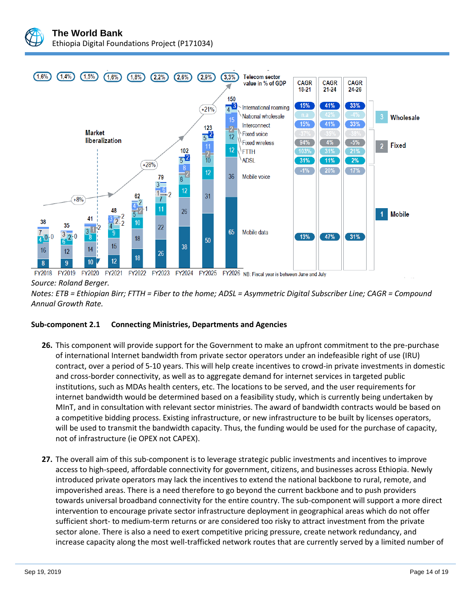



*Notes: ETB = Ethiopian Birr; FTTH = Fiber to the home; ADSL = Asymmetric Digital Subscriber Line; CAGR = Compound Annual Growth Rate.*

## **Sub-component 2.1 Connecting Ministries, Departments and Agencies**

- **26.** This component will provide support for the Government to make an upfront commitment to the pre-purchase of international Internet bandwidth from private sector operators under an indefeasible right of use (IRU) contract, over a period of 5-10 years. This will help create incentives to crowd-in private investments in domestic and cross-border connectivity, as well as to aggregate demand for internet services in targeted public institutions, such as MDAs health centers, etc. The locations to be served, and the user requirements for internet bandwidth would be determined based on a feasibility study, which is currently being undertaken by MInT, and in consultation with relevant sector ministries. The award of bandwidth contracts would be based on a competitive bidding process. Existing infrastructure, or new infrastructure to be built by licenses operators, will be used to transmit the bandwidth capacity. Thus, the funding would be used for the purchase of capacity, not of infrastructure (ie OPEX not CAPEX).
- **27.** The overall aim of this sub-component is to leverage strategic public investments and incentives to improve access to high-speed, affordable connectivity for government, citizens, and businesses across Ethiopia. Newly introduced private operators may lack the incentives to extend the national backbone to rural, remote, and impoverished areas. There is a need therefore to go beyond the current backbone and to push providers towards universal broadband connectivity for the entire country. The sub-component will support a more direct intervention to encourage private sector infrastructure deployment in geographical areas which do not offer sufficient short- to medium-term returns or are considered too risky to attract investment from the private sector alone. There is also a need to exert competitive pricing pressure, create network redundancy, and increase capacity along the most well-trafficked network routes that are currently served by a limited number of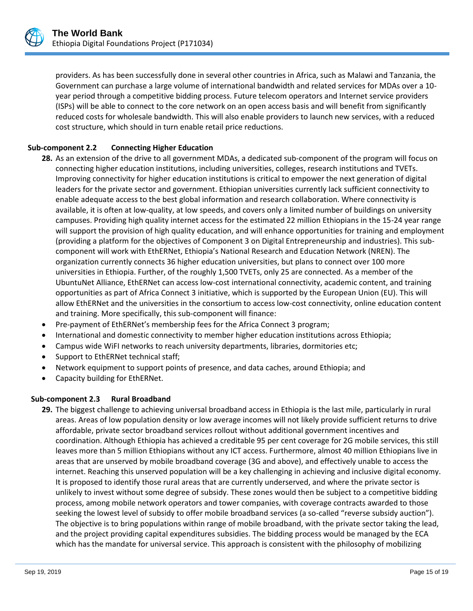

providers. As has been successfully done in several other countries in Africa, such as Malawi and Tanzania, the Government can purchase a large volume of international bandwidth and related services for MDAs over a 10 year period through a competitive bidding process. Future telecom operators and Internet service providers (ISPs) will be able to connect to the core network on an open access basis and will benefit from significantly reduced costs for wholesale bandwidth. This will also enable providers to launch new services, with a reduced cost structure, which should in turn enable retail price reductions.

# **Sub-component 2.2 Connecting Higher Education**

- **28.** As an extension of the drive to all government MDAs, a dedicated sub-component of the program will focus on connecting higher education institutions, including universities, colleges, research institutions and TVETs. Improving connectivity for higher education institutions is critical to empower the next generation of digital leaders for the private sector and government. Ethiopian universities currently lack sufficient connectivity to enable adequate access to the best global information and research collaboration. Where connectivity is available, it is often at low-quality, at low speeds, and covers only a limited number of buildings on university campuses. Providing high quality internet access for the estimated 22 million Ethiopians in the 15-24 year range will support the provision of high quality education, and will enhance opportunities for training and employment (providing a platform for the objectives of Component 3 on Digital Entrepreneurship and industries). This subcomponent will work with EthERNet, Ethiopia's National Research and Education Network (NREN). The organization currently connects 36 higher education universities, but plans to connect over 100 more universities in Ethiopia. Further, of the roughly 1,500 TVETs, only 25 are connected. As a member of the UbuntuNet Alliance, EthERNet can access low-cost international connectivity, academic content, and training opportunities as part of Africa Connect 3 initiative, which is supported by the European Union (EU). This will allow EthERNet and the universities in the consortium to access low-cost connectivity, online education content and training. More specifically, this sub-component will finance:
- Pre-payment of EthERNet's membership fees for the Africa Connect 3 program;
- International and domestic connectivity to member higher education institutions across Ethiopia;
- Campus wide WiFI networks to reach university departments, libraries, dormitories etc;
- Support to EthERNet technical staff;
- Network equipment to support points of presence, and data caches, around Ethiopia; and
- Capacity building for EthERNet.

## **Sub-component 2.3 Rural Broadband**

**29.** The biggest challenge to achieving universal broadband access in Ethiopia is the last mile, particularly in rural areas. Areas of low population density or low average incomes will not likely provide sufficient returns to drive affordable, private sector broadband services rollout without additional government incentives and coordination. Although Ethiopia has achieved a creditable 95 per cent coverage for 2G mobile services, this still leaves more than 5 million Ethiopians without any ICT access. Furthermore, almost 40 million Ethiopians live in areas that are unserved by mobile broadband coverage (3G and above), and effectively unable to access the internet. Reaching this unserved population will be a key challenging in achieving and inclusive digital economy. It is proposed to identify those rural areas that are currently underserved, and where the private sector is unlikely to invest without some degree of subsidy. These zones would then be subject to a competitive bidding process, among mobile network operators and tower companies, with coverage contracts awarded to those seeking the lowest level of subsidy to offer mobile broadband services (a so-called "reverse subsidy auction"). The objective is to bring populations within range of mobile broadband, with the private sector taking the lead, and the project providing capital expenditures subsidies. The bidding process would be managed by the ECA which has the mandate for universal service. This approach is consistent with the philosophy of mobilizing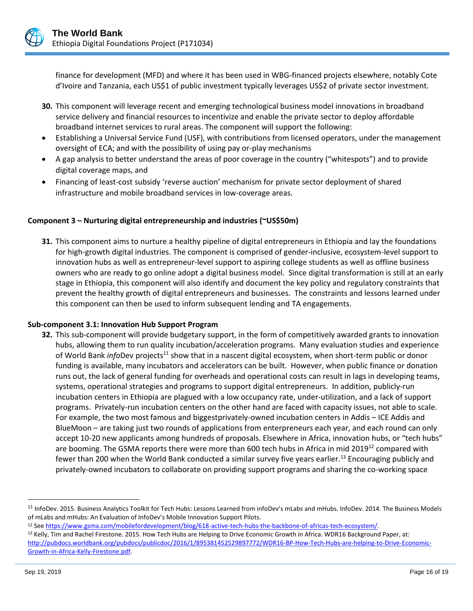

finance for development (MFD) and where it has been used in WBG-financed projects elsewhere, notably Cote d'Ivoire and Tanzania, each US\$1 of public investment typically leverages US\$2 of private sector investment.

- **30.** This component will leverage recent and emerging technological business model innovations in broadband service delivery and financial resources to incentivize and enable the private sector to deploy affordable broadband internet services to rural areas. The component will support the following:
- Establishing a Universal Service Fund (USF), with contributions from licensed operators, under the management oversight of ECA; and with the possibility of using pay or-play mechanisms
- A gap analysis to better understand the areas of poor coverage in the country ("whitespots") and to provide digital coverage maps, and
- Financing of least-cost subsidy 'reverse auction' mechanism for private sector deployment of shared infrastructure and mobile broadband services in low-coverage areas.

## **Component 3 – Nurturing digital entrepreneurship and industries (~US\$50m)**

**31.** This component aims to nurture a healthy pipeline of digital entrepreneurs in Ethiopia and lay the foundations for high-growth digital industries. The component is comprised of gender-inclusive, ecosystem-level support to innovation hubs as well as entrepreneur-level support to aspiring college students as well as offline business owners who are ready to go online adopt a digital business model. Since digital transformation is still at an early stage in Ethiopia, this component will also identify and document the key policy and regulatory constraints that prevent the healthy growth of digital entrepreneurs and businesses. The constraints and lessons learned under this component can then be used to inform subsequent lending and TA engagements.

## **Sub-component 3.1: Innovation Hub Support Program**

**32.** This sub-component will provide budgetary support, in the form of competitively awarded grants to innovation hubs, allowing them to run quality incubation/acceleration programs. Many evaluation studies and experience of World Bank *info*Dev projects<sup>11</sup> show that in a nascent digital ecosystem, when short-term public or donor funding is available, many incubators and accelerators can be built. However, when public finance or donation runs out, the lack of general funding for overheads and operational costs can result in lags in developing teams, systems, operational strategies and programs to support digital entrepreneurs. In addition, publicly-run incubation centers in Ethiopia are plagued with a low occupancy rate, under-utilization, and a lack of support programs. Privately-run incubation centers on the other hand are faced with capacity issues, not able to scale. For example, the two most famous and biggestprivately-owned incubation centers in Addis – ICE Addis and BlueMoon – are taking just two rounds of applications from enterpreneurs each year, and each round can only accept 10-20 new applicants among hundreds of proposals. Elsewhere in Africa, innovation hubs, or "tech hubs" are booming. The GSMA reports there were more than 600 tech hubs in Africa in mid 2019<sup>12</sup> compared with fewer than 200 when the World Bank conducted a similar survey five years earlier.<sup>13</sup> Encouraging publicly and privately-owned incubators to collaborate on providing support programs and sharing the co-working space

<sup>&</sup>lt;sup>11</sup> InfoDev. 2015. Business Analytics Toolkit for Tech Hubs: Lessons Learned from infoDev's mLabs and mHubs. InfoDev. 2014. The Business Models of mLabs and mHubs: An Evaluation of InfoDev's Mobile Innovation Support Pilots.

<sup>12</sup> Se[e https://www.gsma.com/mobilefordevelopment/blog/618-active-tech-hubs-the-backbone-of-africas-tech-ecosystem/.](https://www.gsma.com/mobilefordevelopment/blog/618-active-tech-hubs-the-backbone-of-africas-tech-ecosystem/)

<sup>&</sup>lt;sup>13</sup> Kelly, Tim and Rachel Firestone. 2015. How Tech Hubs are Helping to Drive Economic Growth in Africa. WDR16 Background Paper, at: [http://pubdocs.worldbank.org/pubdocs/publicdoc/2016/1/895381452529897772/WDR16-BP-How-Tech-Hubs-are-helping-to-Drive-Economic-](http://pubdocs.worldbank.org/pubdocs/publicdoc/2016/1/895381452529897772/WDR16-BP-How-Tech-Hubs-are-helping-to-Drive-Economic-Growth-in-Africa-Kelly-Firestone.pdf)[Growth-in-Africa-Kelly-Firestone.pdf.](http://pubdocs.worldbank.org/pubdocs/publicdoc/2016/1/895381452529897772/WDR16-BP-How-Tech-Hubs-are-helping-to-Drive-Economic-Growth-in-Africa-Kelly-Firestone.pdf)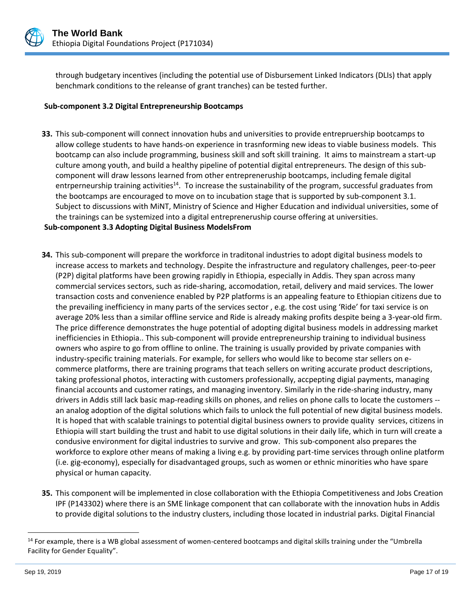

through budgetary incentives (including the potential use of Disbursement Linked Indicators (DLIs) that apply benchmark conditions to the releanse of grant tranches) can be tested further.

#### **Sub-component 3.2 Digital Entrepreneurship Bootcamps**

**33.** This sub-component will connect innovation hubs and universities to provide entrepruership bootcamps to allow college students to have hands-on experience in trasnforming new ideas to viable business models. This bootcamp can also include programming, business skill and soft skill training. It aims to mainstream a start-up culture among youth, and build a healthy pipeline of potential digital entrepreneurs. The design of this subcomponent will draw lessons learned from other entrepreneruship bootcamps, including female digital entrperneurship training activities<sup>14</sup>. To increase the sustainability of the program, successful graduates from the bootcamps are encouraged to move on to incubation stage that is supported by sub-component 3.1. Subject to discussions with MiNT, Ministry of Science and Higher Education and individual universities, some of the trainings can be systemized into a digital entrepreneruship course offering at universities.

#### **Sub-component 3.3 Adopting Digital Business ModelsFrom**

- **34.** This sub-component will prepare the workforce in traditonal industries to adopt digital business models to increase access to markets and technology. Despite the infrastructure and regulatory challenges, peer-to-peer (P2P) digital platforms have been growing rapidly in Ethiopia, especially in Addis. They span across many commercial services sectors, such as ride-sharing, accomodation, retail, delivery and maid services. The lower transaction costs and convenience enabled by P2P platforms is an appealing feature to Ethiopian citizens due to the prevailing inefficiency in many parts of the services sector , e.g. the cost using 'Ride' for taxi service is on average 20% less than a similar offline service and Ride is already making profits despite being a 3-year-old firm. The price difference demonstrates the huge potential of adopting digital business models in addressing market inefficiencies in Ethiopia.. This sub-component will provide entrepreneurship training to individual business owners who aspire to go from offline to online. The training is usually provided by private companies with industry-specific training materials. For example, for sellers who would like to become star sellers on ecommerce platforms, there are training programs that teach sellers on writing accurate product descriptions, taking professional photos, interacting with customers professionally, accpepting digial payments, managing financial accounts and customer ratings, and managing inventory. Similarly in the ride-sharing industry, many drivers in Addis still lack basic map-reading skills on phones, and relies on phone calls to locate the customers - an analog adoption of the digital solutions which fails to unlock the full potential of new digital business models. It is hoped that with scalable trainings to potential digital business owners to provide quality services, citizens in Ethiopia will start building the trust and habit to use digital solutions in their daily life, which in turn will create a condusive environment for digital industries to survive and grow. This sub-component also prepares the workforce to explore other means of making a living e.g. by providing part-time services through online platform (i.e. gig-economy), especially for disadvantaged groups, such as women or ethnic minorities who have spare physical or human capacity.
- **35.** This component will be implemented in close collaboration with the Ethiopia Competitiveness and Jobs Creation IPF (P143302) where there is an SME linkage component that can collaborate with the innovation hubs in Addis to provide digital solutions to the industry clusters, including those located in industrial parks. Digital Financial

<sup>&</sup>lt;sup>14</sup> For example, there is a WB global assessment of women-centered bootcamps and digital skills training under the "Umbrella Facility for Gender Equality".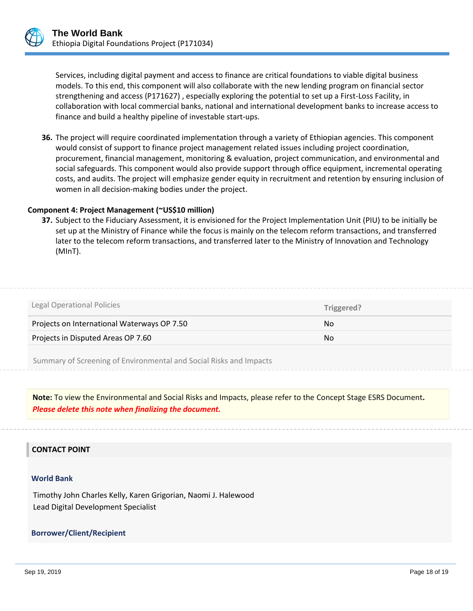

Services, including digital payment and access to finance are critical foundations to viable digital business models. To this end, this component will also collaborate with the new lending program on financial sector strengthening and access (P171627) , especially exploring the potential to set up a First-Loss Facility, in collaboration with local commercial banks, national and international development banks to increase access to finance and build a healthy pipeline of investable start-ups.

**36.** The project will require coordinated implementation through a variety of Ethiopian agencies. This component would consist of support to finance project management related issues including project coordination, procurement, financial management, monitoring & evaluation, project communication, and environmental and social safeguards. This component would also provide support through office equipment, incremental operating costs, and audits. The project will emphasize gender equity in recruitment and retention by ensuring inclusion of women in all decision-making bodies under the project.

#### **Component 4: Project Management (~US\$10 million)**

**37.** Subject to the Fiduciary Assessment, it is envisioned for the Project Implementation Unit (PIU) to be initially be set up at the Ministry of Finance while the focus is mainly on the telecom reform transactions, and transferred later to the telecom reform transactions, and transferred later to the Ministry of Innovation and Technology (MInT).

| Legal Operational Policies                  | Triggered? |
|---------------------------------------------|------------|
| Projects on International Waterways OP 7.50 | No.        |
| Projects in Disputed Areas OP 7.60          | No.        |
|                                             |            |

Summary of Screening of Environmental and Social Risks and Impacts

**Note:** To view the Environmental and Social Risks and Impacts, please refer to the Concept Stage ESRS Document**.** *Please delete this note when finalizing the document.*

#### **CONTACT POINT**

#### **World Bank**

Timothy John Charles Kelly, Karen Grigorian, Naomi J. Halewood Lead Digital Development Specialist

**Borrower/Client/Recipient**